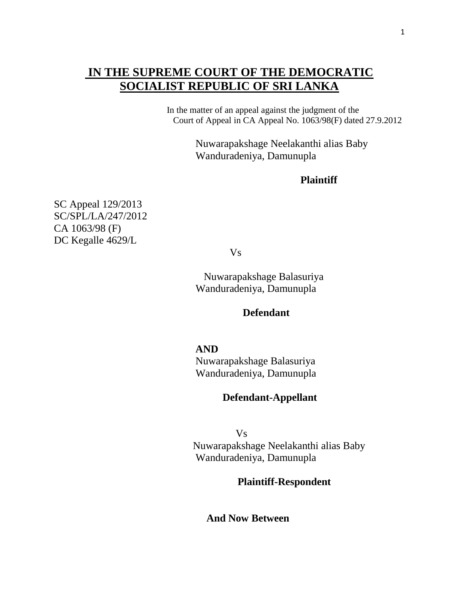# **IN THE SUPREME COURT OF THE DEMOCRATIC SOCIALIST REPUBLIC OF SRI LANKA**

 In the matter of an appeal against the judgment of the Court of Appeal in CA Appeal No. 1063/98(F) dated 27.9.2012

> Nuwarapakshage Neelakanthi alias Baby Wanduradeniya, Damunupla

### **Plaintiff**

SC Appeal 129/2013 SC/SPL/LA/247/2012 CA 1063/98 (F) DC Kegalle 4629/L

Vs

 Nuwarapakshage Balasuriya Wanduradeniya, Damunupla

### **Defendant**

 **AND** 

Nuwarapakshage Balasuriya Wanduradeniya, Damunupla

## **Defendant-Appellant**

 Vs Nuwarapakshage Neelakanthi alias Baby Wanduradeniya, Damunupla

### **Plaintiff-Respondent**

**And Now Between**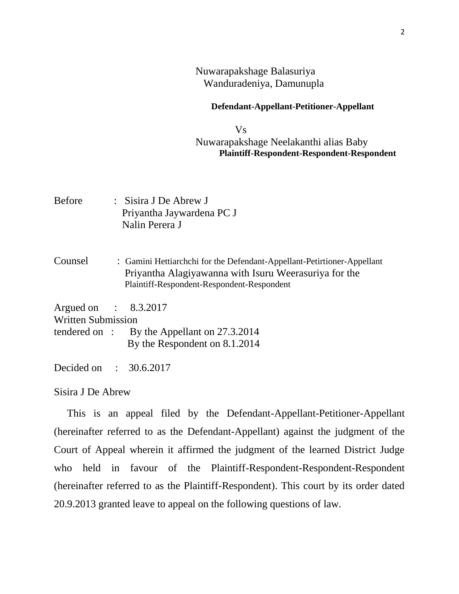### Nuwarapakshage Balasuriya Wanduradeniya, Damunupla

#### **Defendant-Appellant-Petitioner-Appellant**

 Vs Nuwarapakshage Neelakanthi alias Baby  **Plaintiff-Respondent-Respondent-Respondent**

- Before : Sisira J De Abrew J Priyantha Jaywardena PC J Nalin Perera J
- Counsel : Gamini Hettiarchchi for the Defendant-Appellant-Petirtioner-Appellant Priyantha Alagiyawanna with Isuru Weerasuriya for the Plaintiff**-**Respondent-Respondent-Respondent

Argued on : 8.3.2017

Written Submission

tendered on : By the Appellant on 27.3.2014 By the Respondent on 8.1.2014

Decided on : 30.6.2017

#### Sisira J De Abrew

 This is an appeal filed by the Defendant-Appellant-Petitioner-Appellant (hereinafter referred to as the Defendant-Appellant) against the judgment of the Court of Appeal wherein it affirmed the judgment of the learned District Judge who held in favour of the Plaintiff-Respondent-Respondent-Respondent (hereinafter referred to as the Plaintiff-Respondent). This court by its order dated 20.9.2013 granted leave to appeal on the following questions of law.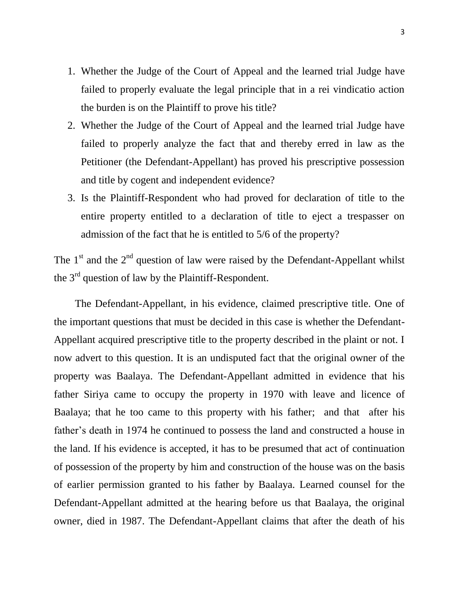- 1. Whether the Judge of the Court of Appeal and the learned trial Judge have failed to properly evaluate the legal principle that in a rei vindicatio action the burden is on the Plaintiff to prove his title?
- 2. Whether the Judge of the Court of Appeal and the learned trial Judge have failed to properly analyze the fact that and thereby erred in law as the Petitioner (the Defendant-Appellant) has proved his prescriptive possession and title by cogent and independent evidence?
- 3. Is the Plaintiff-Respondent who had proved for declaration of title to the entire property entitled to a declaration of title to eject a trespasser on admission of the fact that he is entitled to 5/6 of the property?

The  $1<sup>st</sup>$  and the  $2<sup>nd</sup>$  question of law were raised by the Defendant-Appellant whilst the  $3<sup>rd</sup>$  question of law by the Plaintiff-Respondent.

 The Defendant-Appellant, in his evidence, claimed prescriptive title. One of the important questions that must be decided in this case is whether the Defendant-Appellant acquired prescriptive title to the property described in the plaint or not. I now advert to this question. It is an undisputed fact that the original owner of the property was Baalaya. The Defendant-Appellant admitted in evidence that his father Siriya came to occupy the property in 1970 with leave and licence of Baalaya; that he too came to this property with his father; and that after his father's death in 1974 he continued to possess the land and constructed a house in the land. If his evidence is accepted, it has to be presumed that act of continuation of possession of the property by him and construction of the house was on the basis of earlier permission granted to his father by Baalaya. Learned counsel for the Defendant-Appellant admitted at the hearing before us that Baalaya, the original owner, died in 1987. The Defendant-Appellant claims that after the death of his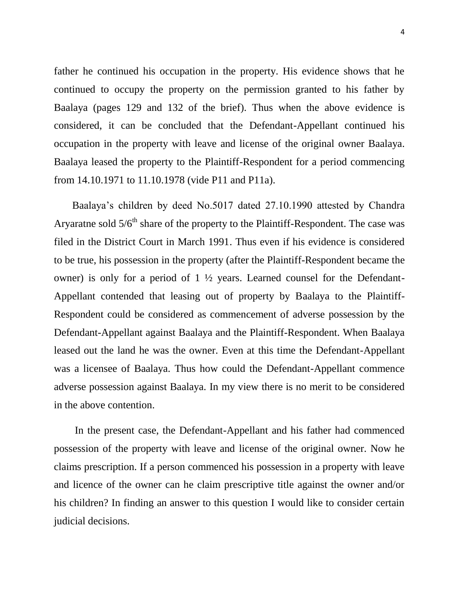father he continued his occupation in the property. His evidence shows that he continued to occupy the property on the permission granted to his father by Baalaya (pages 129 and 132 of the brief). Thus when the above evidence is considered, it can be concluded that the Defendant-Appellant continued his occupation in the property with leave and license of the original owner Baalaya. Baalaya leased the property to the Plaintiff-Respondent for a period commencing from 14.10.1971 to 11.10.1978 (vide P11 and P11a).

 Baalaya's children by deed No.5017 dated 27.10.1990 attested by Chandra Aryaratne sold  $5/6<sup>th</sup>$  share of the property to the Plaintiff-Respondent. The case was filed in the District Court in March 1991. Thus even if his evidence is considered to be true, his possession in the property (after the Plaintiff-Respondent became the owner) is only for a period of  $1 \frac{1}{2}$  years. Learned counsel for the Defendant-Appellant contended that leasing out of property by Baalaya to the Plaintiff-Respondent could be considered as commencement of adverse possession by the Defendant-Appellant against Baalaya and the Plaintiff-Respondent. When Baalaya leased out the land he was the owner. Even at this time the Defendant-Appellant was a licensee of Baalaya. Thus how could the Defendant-Appellant commence adverse possession against Baalaya. In my view there is no merit to be considered in the above contention.

 In the present case, the Defendant-Appellant and his father had commenced possession of the property with leave and license of the original owner. Now he claims prescription. If a person commenced his possession in a property with leave and licence of the owner can he claim prescriptive title against the owner and/or his children? In finding an answer to this question I would like to consider certain judicial decisions.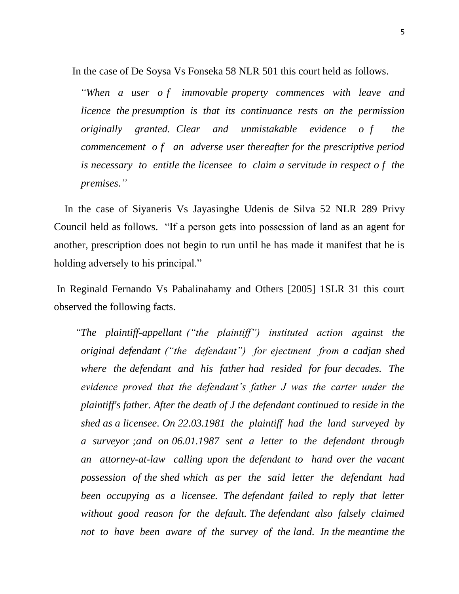In the case of De Soysa Vs Fonseka 58 NLR 501 this court held as follows.

 *"When a user o f immovable property commences with leave and licence the presumption is that its continuance rests on the permission originally granted. Clear and unmistakable evidence o f the commencement o f an adverse user thereafter for the prescriptive period is necessary to entitle the licensee to claim a servitude in respect o f the premises."*

 In the case of Siyaneris Vs Jayasinghe Udenis de Silva 52 NLR 289 Privy Council held as follows. "If a person gets into possession of land as an agent for another, prescription does not begin to run until he has made it manifest that he is holding adversely to his principal."

In Reginald Fernando Vs Pabalinahamy and Others [2005] 1SLR 31 this court observed the following facts.

 *"The plaintiff-appellant ("the plaintiff") instituted action against the original defendant ("the defendant") for ejectment from a cadjan shed where the defendant and his father had resided for four decades. The evidence proved that the defendant"s father J was the carter under the plaintiff's father. After the death of J the defendant continued to reside in the shed as a licensee. On 22.03.1981 the plaintiff had the land surveyed by a surveyor ;and on 06.01.1987 sent a letter to the defendant through an attorney-at-law calling upon the defendant to hand over the vacant possession of the shed which as per the said letter the defendant had been occupying as a licensee. The defendant failed to reply that letter without good reason for the default. The defendant also falsely claimed*  not to have been aware of the survey of the land. In the meantime the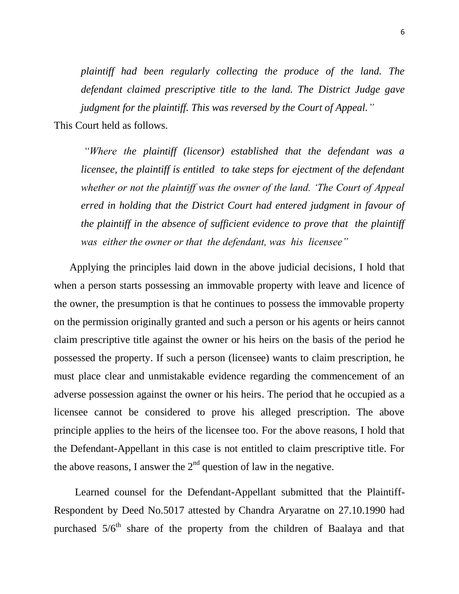*plaintiff had been regularly collecting the produce of the land. The defendant claimed prescriptive title to the land. The District Judge gave judgment for the plaintiff. This was reversed by the Court of Appeal."*

This Court held as follows.

*"Where the plaintiff (licensor) established that the defendant was a licensee, the plaintiff is entitled to take steps for ejectment of the defendant whether or not the plaintiff was the owner of the land. "The Court of Appeal erred in holding that the District Court had entered judgment in favour of the plaintiff in the absence of sufficient evidence to prove that the plaintiff was either the owner or that the defendant, was his licensee"*

 Applying the principles laid down in the above judicial decisions, I hold that when a person starts possessing an immovable property with leave and licence of the owner, the presumption is that he continues to possess the immovable property on the permission originally granted and such a person or his agents or heirs cannot claim prescriptive title against the owner or his heirs on the basis of the period he possessed the property. If such a person (licensee) wants to claim prescription, he must place clear and unmistakable evidence regarding the commencement of an adverse possession against the owner or his heirs. The period that he occupied as a licensee cannot be considered to prove his alleged prescription. The above principle applies to the heirs of the licensee too. For the above reasons, I hold that the Defendant-Appellant in this case is not entitled to claim prescriptive title. For the above reasons, I answer the  $2<sup>nd</sup>$  question of law in the negative.

 Learned counsel for the Defendant-Appellant submitted that the Plaintiff-Respondent by Deed No.5017 attested by Chandra Aryaratne on 27.10.1990 had purchased  $5/6<sup>th</sup>$  share of the property from the children of Baalaya and that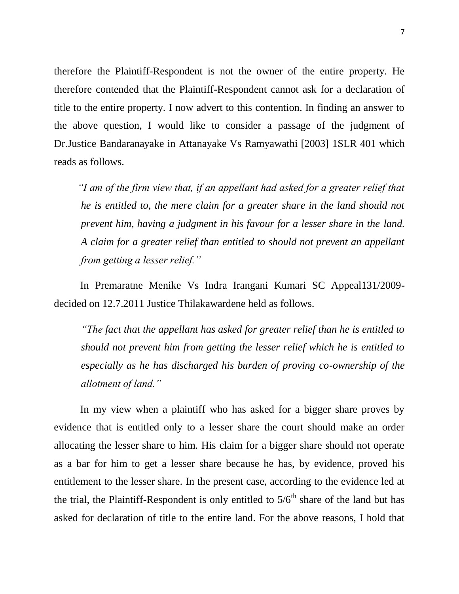therefore the Plaintiff-Respondent is not the owner of the entire property. He therefore contended that the Plaintiff-Respondent cannot ask for a declaration of title to the entire property. I now advert to this contention. In finding an answer to the above question, I would like to consider a passage of the judgment of Dr.Justice Bandaranayake in Attanayake Vs Ramyawathi [2003] 1SLR 401 which reads as follows.

 *"I am of the firm view that, if an appellant had asked for a greater relief that he is entitled to, the mere claim for a greater share in the land should not prevent him, having a judgment in his favour for a lesser share in the land. A claim for a greater relief than entitled to should not prevent an appellant from getting a lesser relief."*

 In Premaratne Menike Vs Indra Irangani Kumari SC Appeal131/2009 decided on 12.7.2011 Justice Thilakawardene held as follows.

*"The fact that the appellant has asked for greater relief than he is entitled to should not prevent him from getting the lesser relief which he is entitled to especially as he has discharged his burden of proving co-ownership of the allotment of land."*

 In my view when a plaintiff who has asked for a bigger share proves by evidence that is entitled only to a lesser share the court should make an order allocating the lesser share to him. His claim for a bigger share should not operate as a bar for him to get a lesser share because he has, by evidence, proved his entitlement to the lesser share. In the present case, according to the evidence led at the trial, the Plaintiff-Respondent is only entitled to  $5/6<sup>th</sup>$  share of the land but has asked for declaration of title to the entire land. For the above reasons, I hold that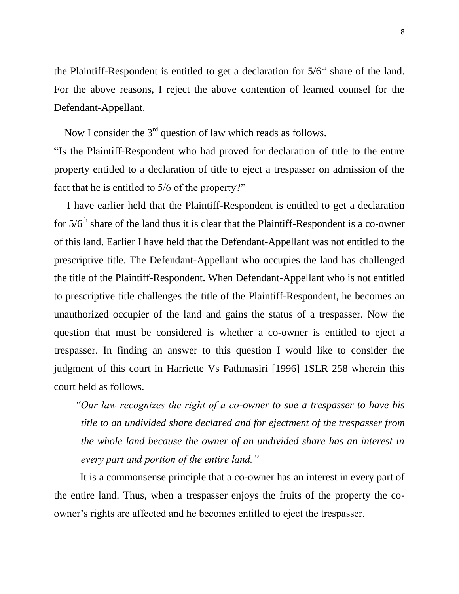the Plaintiff-Respondent is entitled to get a declaration for  $5/6<sup>th</sup>$  share of the land. For the above reasons, I reject the above contention of learned counsel for the Defendant-Appellant.

Now I consider the  $3<sup>rd</sup>$  question of law which reads as follows. "Is the Plaintiff-Respondent who had proved for declaration of title to the entire property entitled to a declaration of title to eject a trespasser on admission of the fact that he is entitled to 5/6 of the property?"

 I have earlier held that the Plaintiff-Respondent is entitled to get a declaration for  $5/6<sup>th</sup>$  share of the land thus it is clear that the Plaintiff-Respondent is a co-owner of this land. Earlier I have held that the Defendant-Appellant was not entitled to the prescriptive title. The Defendant-Appellant who occupies the land has challenged the title of the Plaintiff-Respondent. When Defendant-Appellant who is not entitled to prescriptive title challenges the title of the Plaintiff-Respondent, he becomes an unauthorized occupier of the land and gains the status of a trespasser. Now the question that must be considered is whether a co-owner is entitled to eject a trespasser. In finding an answer to this question I would like to consider the judgment of this court in Harriette Vs Pathmasiri [1996] 1SLR 258 wherein this court held as follows.

 *"Our law recognizes the right of a co-owner to sue a trespasser to have his title to an undivided share declared and for ejectment of the trespasser from the whole land because the owner of an undivided share has an interest in every part and portion of the entire land."*

 It is a commonsense principle that a co-owner has an interest in every part of the entire land. Thus, when a trespasser enjoys the fruits of the property the coowner's rights are affected and he becomes entitled to eject the trespasser.